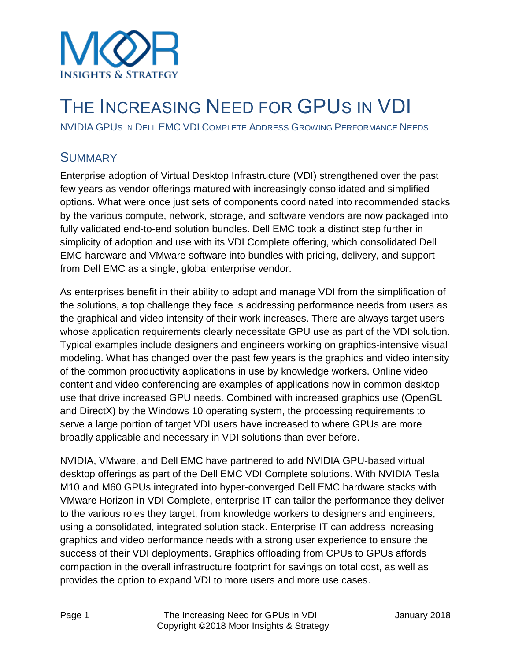

## THE INCREASING NEED FOR GPUS IN VDI

NVIDIA GPUS IN DELL EMC VDI COMPLETE ADDRESS GROWING PERFORMANCE NEEDS

### **SUMMARY**

Enterprise adoption of Virtual Desktop Infrastructure (VDI) strengthened over the past few years as vendor offerings matured with increasingly consolidated and simplified options. What were once just sets of components coordinated into recommended stacks by the various compute, network, storage, and software vendors are now packaged into fully validated end-to-end solution bundles. Dell EMC took a distinct step further in simplicity of adoption and use with its VDI Complete offering, which consolidated Dell EMC hardware and VMware software into bundles with pricing, delivery, and support from Dell EMC as a single, global enterprise vendor.

As enterprises benefit in their ability to adopt and manage VDI from the simplification of the solutions, a top challenge they face is addressing performance needs from users as the graphical and video intensity of their work increases. There are always target users whose application requirements clearly necessitate GPU use as part of the VDI solution. Typical examples include designers and engineers working on graphics-intensive visual modeling. What has changed over the past few years is the graphics and video intensity of the common productivity applications in use by knowledge workers. Online video content and video conferencing are examples of applications now in common desktop use that drive increased GPU needs. Combined with increased graphics use (OpenGL and DirectX) by the Windows 10 operating system, the processing requirements to serve a large portion of target VDI users have increased to where GPUs are more broadly applicable and necessary in VDI solutions than ever before.

NVIDIA, VMware, and Dell EMC have partnered to add NVIDIA GPU-based virtual desktop offerings as part of the Dell EMC VDI Complete solutions. With NVIDIA Tesla M10 and M60 GPUs integrated into hyper-converged Dell EMC hardware stacks with VMware Horizon in VDI Complete, enterprise IT can tailor the performance they deliver to the various roles they target, from knowledge workers to designers and engineers, using a consolidated, integrated solution stack. Enterprise IT can address increasing graphics and video performance needs with a strong user experience to ensure the success of their VDI deployments. Graphics offloading from CPUs to GPUs affords compaction in the overall infrastructure footprint for savings on total cost, as well as provides the option to expand VDI to more users and more use cases.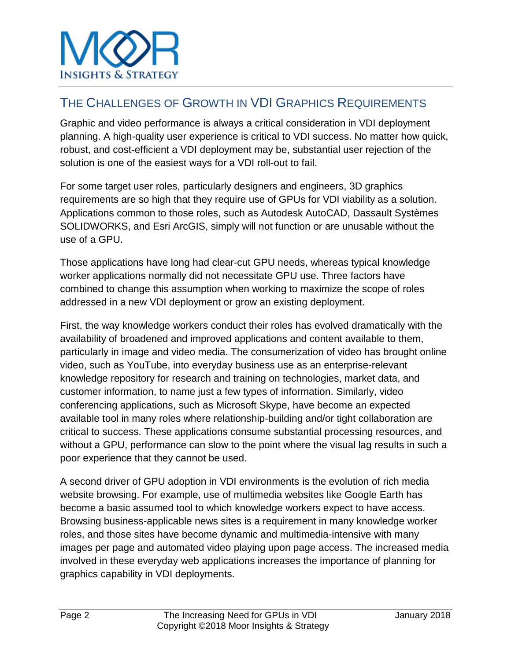## THE CHALLENGES OF GROWTH IN VDI GRAPHICS REQUIREMENTS

Graphic and video performance is always a critical consideration in VDI deployment planning. A high-quality user experience is critical to VDI success. No matter how quick, robust, and cost-efficient a VDI deployment may be, substantial user rejection of the solution is one of the easiest ways for a VDI roll-out to fail.

For some target user roles, particularly designers and engineers, 3D graphics requirements are so high that they require use of GPUs for VDI viability as a solution. Applications common to those roles, such as Autodesk AutoCAD, Dassault Systèmes SOLIDWORKS, and Esri ArcGIS, simply will not function or are unusable without the use of a GPU.

Those applications have long had clear-cut GPU needs, whereas typical knowledge worker applications normally did not necessitate GPU use. Three factors have combined to change this assumption when working to maximize the scope of roles addressed in a new VDI deployment or grow an existing deployment.

First, the way knowledge workers conduct their roles has evolved dramatically with the availability of broadened and improved applications and content available to them, particularly in image and video media. The consumerization of video has brought online video, such as YouTube, into everyday business use as an enterprise-relevant knowledge repository for research and training on technologies, market data, and customer information, to name just a few types of information. Similarly, video conferencing applications, such as Microsoft Skype, have become an expected available tool in many roles where relationship-building and/or tight collaboration are critical to success. These applications consume substantial processing resources, and without a GPU, performance can slow to the point where the visual lag results in such a poor experience that they cannot be used.

A second driver of GPU adoption in VDI environments is the evolution of rich media website browsing. For example, use of multimedia websites like Google Earth has become a basic assumed tool to which knowledge workers expect to have access. Browsing business-applicable news sites is a requirement in many knowledge worker roles, and those sites have become dynamic and multimedia-intensive with many images per page and automated video playing upon page access. The increased media involved in these everyday web applications increases the importance of planning for graphics capability in VDI deployments.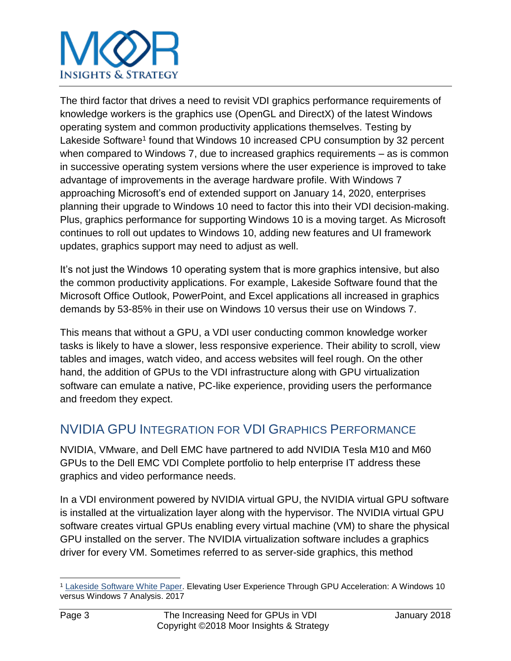# **INSIGHTS & STRATEGY**

The third factor that drives a need to revisit VDI graphics performance requirements of knowledge workers is the graphics use (OpenGL and DirectX) of the latest Windows operating system and common productivity applications themselves. Testing by Lakeside Software<sup>1</sup> found that Windows 10 increased CPU consumption by 32 percent when compared to Windows 7, due to increased graphics requirements – as is common in successive operating system versions where the user experience is improved to take advantage of improvements in the average hardware profile. With Windows 7 approaching Microsoft's end of extended support on January 14, 2020, enterprises planning their upgrade to Windows 10 need to factor this into their VDI decision-making. Plus, graphics performance for supporting Windows 10 is a moving target. As Microsoft continues to roll out updates to Windows 10, adding new features and UI framework updates, graphics support may need to adjust as well.

It's not just the Windows 10 operating system that is more graphics intensive, but also the common productivity applications. For example, Lakeside Software found that the Microsoft Office Outlook, PowerPoint, and Excel applications all increased in graphics demands by 53-85% in their use on Windows 10 versus their use on Windows 7.

This means that without a GPU, a VDI user conducting common knowledge worker tasks is likely to have a slower, less responsive experience. Their ability to scroll, view tables and images, watch video, and access websites will feel rough. On the other hand, the addition of GPUs to the VDI infrastructure along with GPU virtualization software can emulate a native, PC-like experience, providing users the performance and freedom they expect.

## NVIDIA GPU INTEGRATION FOR VDI GRAPHICS PERFORMANCE

NVIDIA, VMware, and Dell EMC have partnered to add NVIDIA Tesla M10 and M60 GPUs to the Dell EMC VDI Complete portfolio to help enterprise IT address these graphics and video performance needs.

In a VDI environment powered by NVIDIA virtual GPU, the NVIDIA virtual GPU software is installed at the virtualization layer along with the hypervisor. The NVIDIA virtual GPU software creates virtual GPUs enabling every virtual machine (VM) to share the physical GPU installed on the server. The NVIDIA virtualization software includes a graphics driver for every VM. Sometimes referred to as server-side graphics, this method

l <sup>1</sup> [Lakeside Software White Paper.](http://www.nvidia.com/object/lakeside-software-whitepaper-win10-vs-win7.html) Elevating User Experience Through GPU Acceleration: A Windows 10 versus Windows 7 Analysis. 2017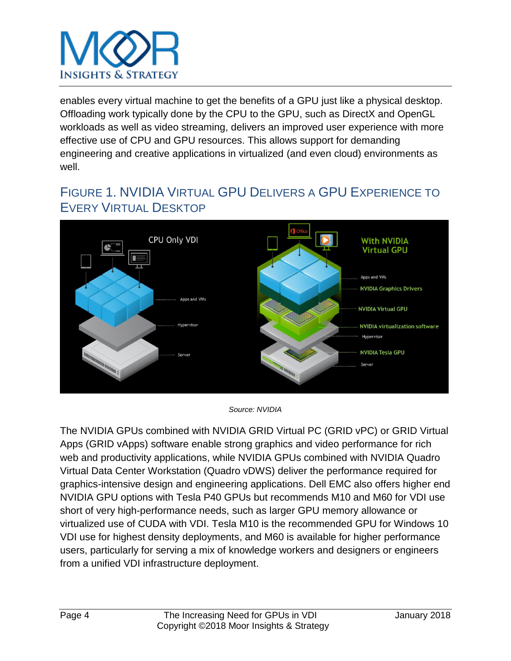

enables every virtual machine to get the benefits of a GPU just like a physical desktop. Offloading work typically done by the CPU to the GPU, such as DirectX and OpenGL workloads as well as video streaming, delivers an improved user experience with more effective use of CPU and GPU resources. This allows support for demanding engineering and creative applications in virtualized (and even cloud) environments as well.

## FIGURE 1. NVIDIA VIRTUAL GPU DELIVERS A GPU EXPERIENCE TO EVERY VIRTUAL DESKTOP



*Source: NVIDIA*

The NVIDIA GPUs combined with NVIDIA GRID Virtual PC (GRID vPC) or GRID Virtual Apps (GRID vApps) software enable strong graphics and video performance for rich web and productivity applications, while NVIDIA GPUs combined with NVIDIA Quadro Virtual Data Center Workstation (Quadro vDWS) deliver the performance required for graphics-intensive design and engineering applications. Dell EMC also offers higher end NVIDIA GPU options with Tesla P40 GPUs but recommends M10 and M60 for VDI use short of very high-performance needs, such as larger GPU memory allowance or virtualized use of CUDA with VDI. Tesla M10 is the recommended GPU for Windows 10 VDI use for highest density deployments, and M60 is available for higher performance users, particularly for serving a mix of knowledge workers and designers or engineers from a unified VDI infrastructure deployment.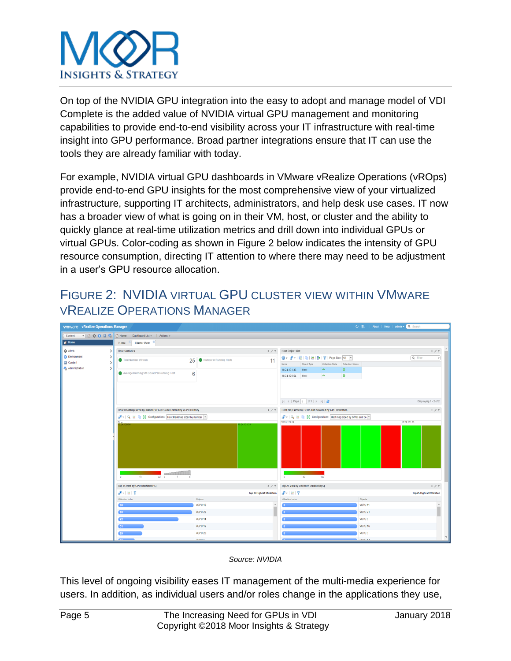

On top of the NVIDIA GPU integration into the easy to adopt and manage model of VDI Complete is the added value of NVIDIA virtual GPU management and monitoring capabilities to provide end-to-end visibility across your IT infrastructure with real-time insight into GPU performance. Broad partner integrations ensure that IT can use the tools they are already familiar with today.

For example, NVIDIA virtual GPU dashboards in VMware vRealize Operations (vROps) provide end-to-end GPU insights for the most comprehensive view of your virtualized infrastructure, supporting IT architects, administrators, and help desk use cases. IT now has a broader view of what is going on in their VM, host, or cluster and the ability to quickly glance at real-time utilization metrics and drill down into individual GPUs or virtual GPUs. Color-coding as shown in Figure 2 below indicates the intensity of GPU resource consumption, directing IT attention to where there may need to be adjustment in a user's GPU resource allocation.

## FIGURE 2: NVIDIA VIRTUAL GPU CLUSTER VIEW WITHIN VMWARE VREALIZE OPERATIONS MANAGER



*Source: NVIDIA*

This level of ongoing visibility eases IT management of the multi-media experience for users. In addition, as individual users and/or roles change in the applications they use,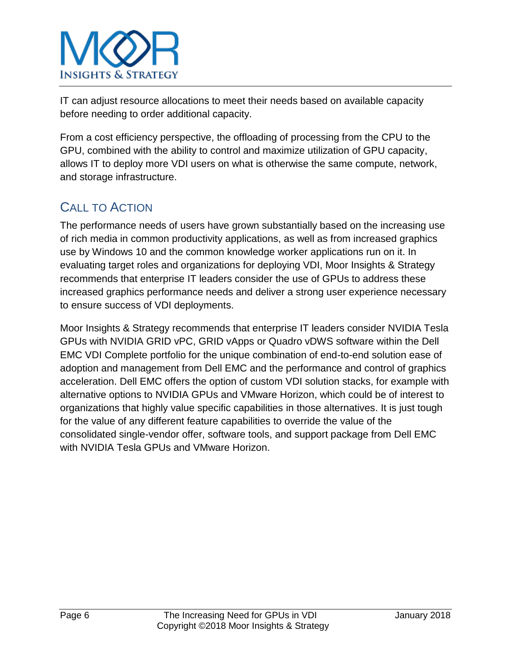

IT can adjust resource allocations to meet their needs based on available capacity before needing to order additional capacity.

From a cost efficiency perspective, the offloading of processing from the CPU to the GPU, combined with the ability to control and maximize utilization of GPU capacity, allows IT to deploy more VDI users on what is otherwise the same compute, network, and storage infrastructure.

## CALL TO ACTION

The performance needs of users have grown substantially based on the increasing use of rich media in common productivity applications, as well as from increased graphics use by Windows 10 and the common knowledge worker applications run on it. In evaluating target roles and organizations for deploying VDI, Moor Insights & Strategy recommends that enterprise IT leaders consider the use of GPUs to address these increased graphics performance needs and deliver a strong user experience necessary to ensure success of VDI deployments.

Moor Insights & Strategy recommends that enterprise IT leaders consider NVIDIA Tesla GPUs with NVIDIA GRID vPC, GRID vApps or Quadro vDWS software within the Dell EMC VDI Complete portfolio for the unique combination of end-to-end solution ease of adoption and management from Dell EMC and the performance and control of graphics acceleration. Dell EMC offers the option of custom VDI solution stacks, for example with alternative options to NVIDIA GPUs and VMware Horizon, which could be of interest to organizations that highly value specific capabilities in those alternatives. It is just tough for the value of any different feature capabilities to override the value of the consolidated single-vendor offer, software tools, and support package from Dell EMC with NVIDIA Tesla GPUs and VMware Horizon.